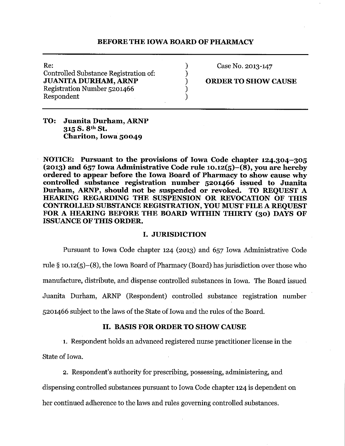### BEFORE THE IOWA BOARD OF PHARMACY

Re:  $\begin{array}{ccc} \text{Re:} & & \text{O:} & \text{Case No. 2013-147} \\ \text{Controlled Substance Registribution of:} & & \text{O:} & \text{O:} & \text{O:} \end{array}$ Controlled Substance Registration of: ) JUANITA DURHAM, ARNP (2008) ORDER TO SHOW CAUSE Registration Number 5201466 Respondent (1999)

TO: Juanita Durham, ARNP 315 S. 8th St. Chariton, Iowa 50049

NOTICE: Pursuant to the provisions of Iowa Code chapter 124.304-305 (2013) and 657 Iowa Administrative Code rule 10.12(5)–(8), you are hereby ordered to appear before the Iowa Board of Pharmacy to show cause why controlled substance registration number 5201466 issued to Juanita Durham, ARNP, should not be suspended or revoked. TO REQUEST A HEARING REGARDING THE SUSPENSION OR REVOCATION OF THIS CONTROLLED SUBSTANCE REGISTRATION, YOU MUST FILE A REQUEST FOR A HEARING BEFORE THE BOARD WITHIN THIRTY (30) DAYS OF ISSUANCE OF THIS ORDER.

#### I. JURISDICTION

Pursuant to Iowa Code chapter 124 (2013) and 657 Iowa Administrative Code rule § 10.12(5)-(8), the Iowa Board of Pharmacy (Board) has jurisdiction over those who manufacture, distribute, and dispense controlled substances in Iowa. The Board issued Juanita Durham, ARNP (Respondent) controlled substance registration number 5201466 subject to the laws of the State of Iowa and the rules of the Board.

## II. BASIS FOR ORDER TO SHOW CAUSE

1. Respondent holds an advanced registered nurse practitioner license in the

State of Iowa.

2. Respondent's authority for prescribing, possessing, administering, and dispensing controlled substances pursuant to Iowa Code chapter 124 is dependent on her continued adherence to the laws and rules governing controlled substances.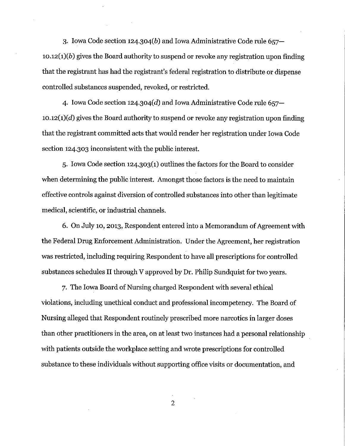3. Iowa Code section 124.304(b) and Iowa Administrative Code rule 657  $10.12(1)(b)$  gives the Board authority to suspend or revoke any registration upon finding that the registrant has had the registrant's federal registration to distribute or dispense controlled substances suspended, revoked, or restricted.

4. Iowa Code section  $124.304(d)$  and Iowa Administrative Code rule 657- $10.12(1)(d)$  gives the Board authority to suspend or revoke any registration upon finding that the registrant committed acts that would render her registration under Iowa Code section 124.303 inconsistent with the public interest.

5. Iowa Code section 124.303(1) outlines the factors for the Board to consider when determining the public interest. Amongst those factors is the need to maintain effective controls against diversion of controlled substances into other than legitimate medical, scientific, or industrial channels.

6. On July 10, 2013, Respondent entered into a Memorandum of Agreement with the Federal Drug Enforcement Administration. Under the Agreement, her registration was restricted, including requiring Respondent to have all prescriptions for controlled substances schedules II through V approved by Dr. Philip Sundquist for two years.

7. The Iowa Board of Nursing charged Respondent with several ethical violations, including unethical conduct and professional incompetency. The Board of Nursing alleged that Respondent routinely prescribed more narcotics in larger doses than other practitioners in the area, on at least two instances had a personal relationship with patients outside the workplace setting and wrote prescriptions for controlled substance to these individuals without supporting office visits or documentation, and

2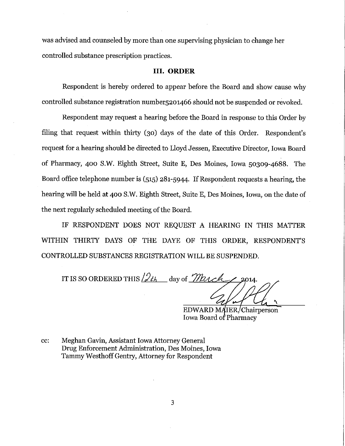was advised and counseled by more than one supervising physician to change her controlled substance prescription practices.

#### III. **ORDER**

Respondent is hereby ordered to appear before the Board and show cause why controlled substance registration number5201466 should not be suspended or revoked.

Respondent may request a hearing before the Board in response to this Order by filing that request within thirty (30) days of the date of this Order. Respondent's request for a hearing should be directed to Lloyd Jessen, Executive Director, Iowa Board of Pharmacy, 400 S.W. Eighth Street, Suite E, Des Moines, Iowa 50309-4688. The Board office telephone number is  $(515)$  281-5944. If Respondent requests a hearing, the hearing will be held at 400 S.W. Eighth Street, Suite E, Des Moines, Iowa, on the date of the next regularly scheduled meeting of the Board.

IF RESPONDENT DOES NOT REQUEST A HEARING IN THIS MATTER WITHIN THIRTY DAYS OF THE DAYE OF THIS ORDER, RESPONDENT'S CONTROLLED SUBSTANCES REGISTRATION WILL BE SUSPENDED.

IT IS SO ORDERED THIS  $2t_1$  day of *March* 

EDWARD MAIER, Chairperson Iowa Board of Pharmacy

cc: Meghan Gavin, Assistant Iowa Attorney General Drug Enforcement Administration, Des Moines, Iowa Tammy Westhoff Gentry, Attorney for Respondent

3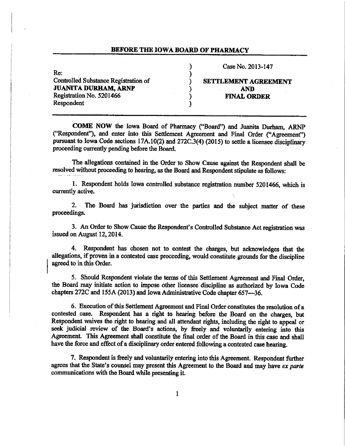#### BEFORE THE IOWA BOARD OF PHARMACY

) )

Re: the contract of the contract of the contract of the contract of the contract of the contract of the contract of the contract of the contract of the contract of the contract of the contract of the contract of the contra ControJled Substance Registration of JUANITA DURHAM, ARNP Registration No. 5201466 (and the contract of the FINAL ORDER **Respondent** 

) Case No. 2013-147

# SETTLEMENT AGREEMENT AND

COME NOW the Iowa Board of Pharmacy ("Board") and Juanita Durham, ARNP ("Respondent"), and enter into this Settlement Agreement and Final Order ("Agreement") pursuant to Iowa Code sections 17A.10(2) and 272C.3(4) (2015) to settle a licensee disciplinary proceeding currently pending before the Board.

The allegations contained in the Order to Show Cause against the Respondent shall be resolved without proceeding to hearing, as the Board and Respondent stipulate as follows:

1. Respondent holds Iowa controJled substance registration number 5201466, which is currently active.

2. The Board has jurisdiction over the parties and the subject matter of these proceedings.

3. An Order to Show Cause the Respondent's Controlled Substance Act registration was issued on August 12, 2014.

4. Respondent has chosen not to contest the charges, but acknowledges that the allegations, if proven in a contested case proceeding, would constitute grounds for the discipline agreed to in this Order.

*5.* Should Respondent violate the terms of this Settlement Agreement and Final Order, the Board may initiate action to impose other licensee discipline as authorized by Iowa Code chapters 272C and 155A (2013) and Iowa Administrative Code chapter 657-36.

6. Execution of this Settlement Agreement and Final Order constitutes the resolution of a contested case. Respondent has a right to hearing before the Board on the charges, but Respondent waives the right to hearing and all attendant rights, including the right to appeal or seek judicial review of the Board's actions, by freely and voluntarily entering into this Agreement. This Agreement shall constitute the final order of the Board in this case and shall have the force and effect of a disciplinary order entered following a contested case hearing.

7. Respondent is freely and voluntarily entering into this Agreement. Respondent further agrees that the State's counsel may present this Agreement to the Board and may have *ex parte*  communications with the Board while presenting it.